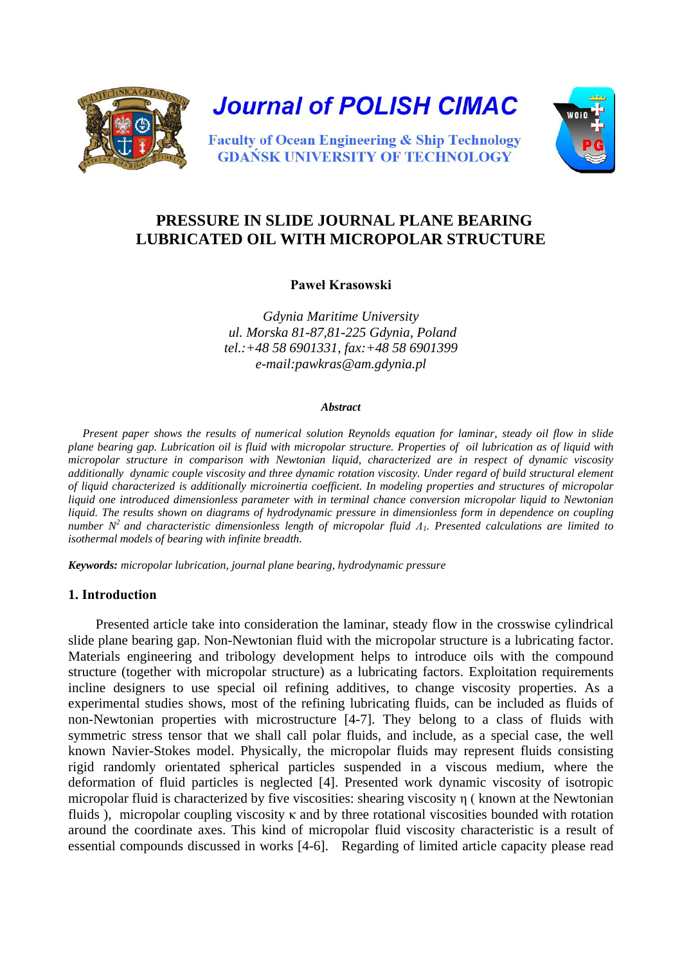



# **PRESSURE IN SLIDE JOURNAL PLANE BEARING LUBRICATED OIL WITH MICROPOLAR STRUCTURE**

## **Paweł Krasowski**

*Gdynia Maritime University ul. Morska 81-87,81-225 Gdynia, Poland tel.:+48 58 6901331, fax:+48 58 6901399 e-mail:pawkras@am.gdynia.pl* 

#### *Abstract*

 *Present paper shows the results of numerical solution Reynolds equation for laminar, steady oil flow in slide plane bearing gap. Lubrication oil is fluid with micropolar structure. Properties of oil lubrication as of liquid with micropolar structure in comparison with Newtonian liquid, characterized are in respect of dynamic viscosity additionally dynamic couple viscosity and three dynamic rotation viscosity. Under regard of build structural element of liquid characterized is additionally microinertia coefficient. In modeling properties and structures of micropolar liquid one introduced dimensionless parameter with in terminal chance conversion micropolar liquid to Newtonian liquid. The results shown on diagrams of hydrodynamic pressure in dimensionless form in dependence on coupling number N2 and characteristic dimensionless length of micropolar fluid Λ1. Presented calculations are limited to isothermal models of bearing with infinite breadth.* 

*Keywords: micropolar lubrication, journal plane bearing, hydrodynamic pressure* 

#### **1. Introduction**

 Presented article take into consideration the laminar, steady flow in the crosswise cylindrical slide plane bearing gap. Non-Newtonian fluid with the micropolar structure is a lubricating factor. Materials engineering and tribology development helps to introduce oils with the compound structure (together with micropolar structure) as a lubricating factors. Exploitation requirements incline designers to use special oil refining additives, to change viscosity properties. As a experimental studies shows, most of the refining lubricating fluids, can be included as fluids of non-Newtonian properties with microstructure [4-7]. They belong to a class of fluids with symmetric stress tensor that we shall call polar fluids, and include, as a special case, the well known Navier-Stokes model. Physically, the micropolar fluids may represent fluids consisting rigid randomly orientated spherical particles suspended in a viscous medium, where the deformation of fluid particles is neglected [4]. Presented work dynamic viscosity of isotropic micropolar fluid is characterized by five viscosities: shearing viscosity η ( known at the Newtonian fluids ), micropolar coupling viscosity κ and by three rotational viscosities bounded with rotation around the coordinate axes. This kind of micropolar fluid viscosity characteristic is a result of essential compounds discussed in works [4-6]. Regarding of limited article capacity please read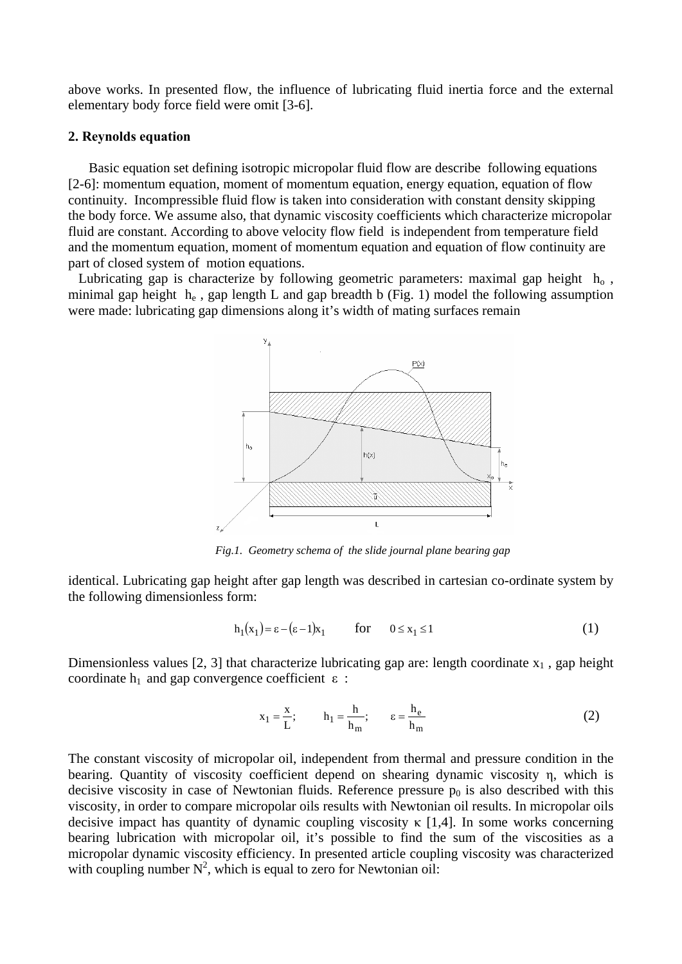above works. In presented flow, the influence of lubricating fluid inertia force and the external elementary body force field were omit [3-6].

#### **2. Reynolds equation**

 Basic equation set defining isotropic micropolar fluid flow are describe following equations [2-6]: momentum equation, moment of momentum equation, energy equation, equation of flow continuity. Incompressible fluid flow is taken into consideration with constant density skipping the body force. We assume also, that dynamic viscosity coefficients which characterize micropolar fluid are constant. According to above velocity flow field is independent from temperature field and the momentum equation, moment of momentum equation and equation of flow continuity are part of closed system of motion equations.

Lubricating gap is characterize by following geometric parameters: maximal gap height  $h_0$ , minimal gap height  $h_e$ , gap length L and gap breadth b (Fig. 1) model the following assumption were made: lubricating gap dimensions along it's width of mating surfaces remain



*Fig.1. Geometry schema of the slide journal plane bearing gap*

identical. Lubricating gap height after gap length was described in cartesian co-ordinate system by the following dimensionless form:

$$
h_1(x_1) = \varepsilon - (\varepsilon - 1)x_1 \qquad \text{for} \qquad 0 \le x_1 \le 1 \tag{1}
$$

Dimensionless values [2, 3] that characterize lubricating gap are: length coordinate  $x_1$ , gap height coordinate  $h_1$  and gap convergence coefficient  $\varepsilon$ :

$$
x_1 = \frac{x}{L}; \qquad h_1 = \frac{h}{h_m}; \qquad \varepsilon = \frac{h_e}{h_m}
$$
 (2)

The constant viscosity of micropolar oil, independent from thermal and pressure condition in the bearing. Quantity of viscosity coefficient depend on shearing dynamic viscosity η, which is decisive viscosity in case of Newtonian fluids. Reference pressure  $p_0$  is also described with this viscosity, in order to compare micropolar oils results with Newtonian oil results. In micropolar oils decisive impact has quantity of dynamic coupling viscosity  $\kappa$  [1,4]. In some works concerning bearing lubrication with micropolar oil, it's possible to find the sum of the viscosities as a micropolar dynamic viscosity efficiency. In presented article coupling viscosity was characterized with coupling number  $N^2$ , which is equal to zero for Newtonian oil: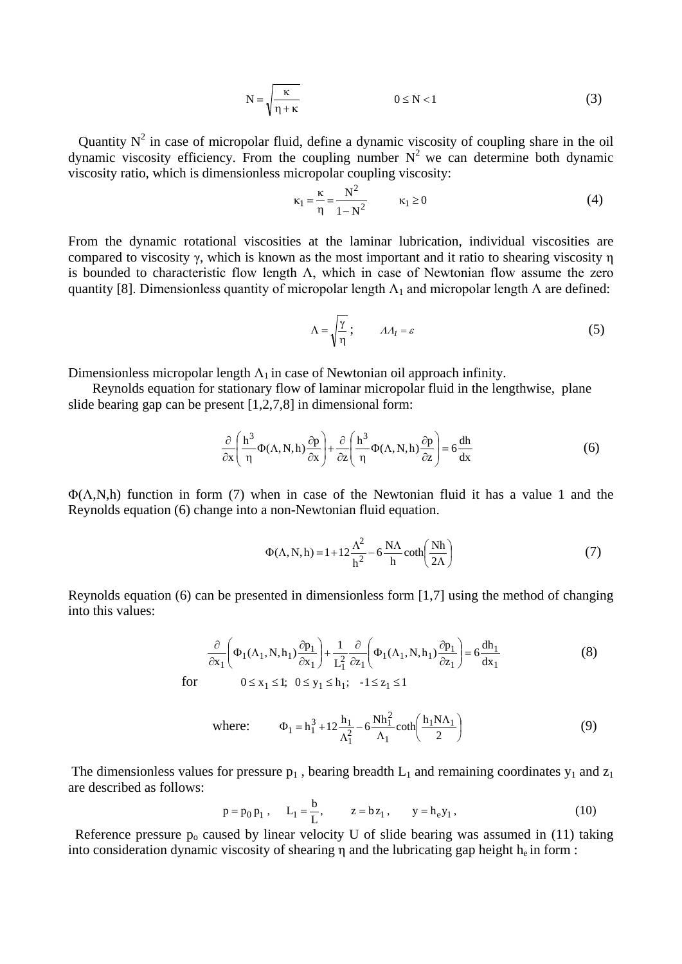$$
N = \sqrt{\frac{\kappa}{\eta + \kappa}}
$$
 0 \le N < 1 (3)

Quantity  $N^2$  in case of micropolar fluid, define a dynamic viscosity of coupling share in the oil dynamic viscosity efficiency. From the coupling number  $N^2$  we can determine both dynamic viscosity ratio, which is dimensionless micropolar coupling viscosity:

$$
\kappa_1 = \frac{\kappa}{\eta} = \frac{N^2}{1 - N^2} \qquad \kappa_1 \ge 0 \tag{4}
$$

From the dynamic rotational viscosities at the laminar lubrication, individual viscosities are compared to viscosity γ, which is known as the most important and it ratio to shearing viscosity η is bounded to characteristic flow length  $\Lambda$ , which in case of Newtonian flow assume the zero quantity [8]. Dimensionless quantity of micropolar length  $\Lambda_1$  and micropolar length  $\Lambda$  are defined:

$$
\Lambda = \sqrt{\frac{\gamma}{\eta}} \, ; \qquad \Lambda A_I = \varepsilon \tag{5}
$$

Dimensionless micropolar length  $\Lambda_1$  in case of Newtonian oil approach infinity.

 Reynolds equation for stationary flow of laminar micropolar fluid in the lengthwise, plane slide bearing gap can be present [1,2,7,8] in dimensional form:

$$
\frac{\partial}{\partial x} \left( \frac{h^3}{\eta} \Phi(\Lambda, N, h) \frac{\partial p}{\partial x} \right) + \frac{\partial}{\partial z} \left( \frac{h^3}{\eta} \Phi(\Lambda, N, h) \frac{\partial p}{\partial z} \right) = 6 \frac{dh}{dx}
$$
(6)

 $\Phi(\Lambda, N, h)$  function in form (7) when in case of the Newtonian fluid it has a value 1 and the Reynolds equation (6) change into a non-Newtonian fluid equation.

$$
\Phi(\Lambda, N, h) = 1 + 12 \frac{\Lambda^2}{h^2} - 6 \frac{N\Lambda}{h} \coth\left(\frac{Nh}{2\Lambda}\right)
$$
 (7)

Reynolds equation (6) can be presented in dimensionless form [1,7] using the method of changing into this values:

$$
\frac{\partial}{\partial x_1} \left( \Phi_1(\Lambda_1, N, h_1) \frac{\partial p_1}{\partial x_1} \right) + \frac{1}{L_1^2} \frac{\partial}{\partial z_1} \left( \Phi_1(\Lambda_1, N, h_1) \frac{\partial p_1}{\partial z_1} \right) = 6 \frac{dh_1}{dx_1}
$$
\n
$$
\text{for} \qquad 0 \le x_1 \le 1; \ \ 0 \le y_1 \le h_1; \ \ -1 \le z_1 \le 1
$$
\n
$$
(8)
$$

where: 
$$
\Phi_1 = h_1^3 + 12 \frac{h_1}{\Lambda_1^2} - 6 \frac{Nh_1^2}{\Lambda_1} \coth\left(\frac{h_1 N \Lambda_1}{2}\right)
$$
 (9)

The dimensionless values for pressure  $p_1$ , bearing breadth  $L_1$  and remaining coordinates  $y_1$  and  $z_1$ are described as follows:

$$
p = p_0 p_1
$$
,  $L_1 = \frac{b}{L}$ ,  $z = bz_1$ ,  $y = h_e y_1$ , (10)

Reference pressure  $p_0$  caused by linear velocity U of slide bearing was assumed in (11) taking into consideration dynamic viscosity of shearing  $\eta$  and the lubricating gap height  $h_e$  in form :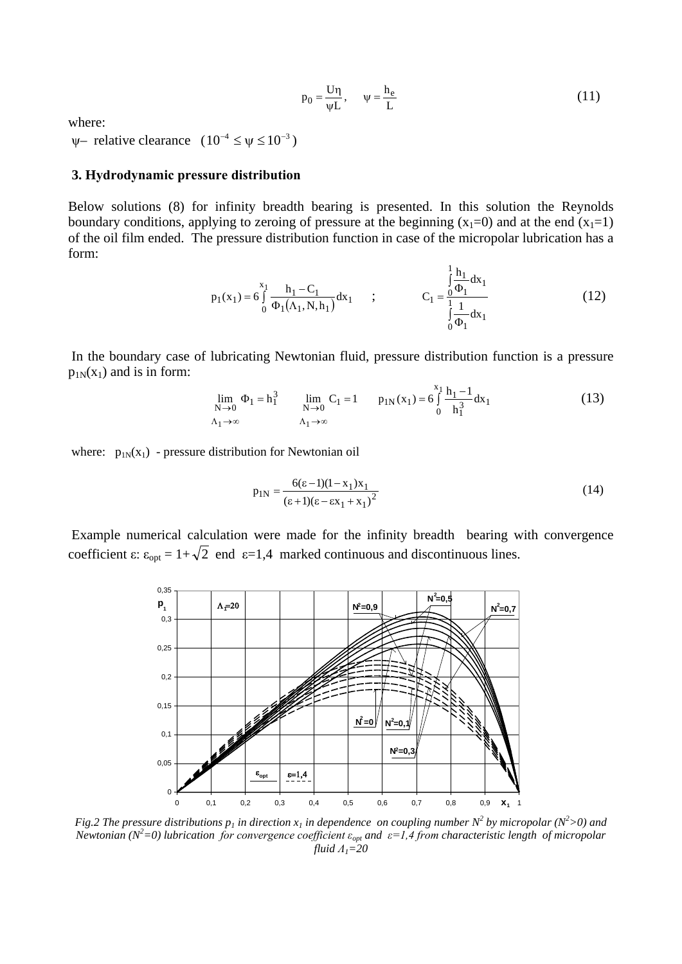$$
p_0 = \frac{U\eta}{\psi L}, \qquad \psi = \frac{h_e}{L} \tag{11}
$$

where:

 $\psi$ – relative clearance  $(10^{-4} \leq \psi \leq 10^{-3})$ 

#### **3. Hydrodynamic pressure distribution**

Below solutions (8) for infinity breadth bearing is presented. In this solution the Reynolds boundary conditions, applying to zeroing of pressure at the beginning  $(x_1=0)$  and at the end  $(x_1=1)$ of the oil film ended. The pressure distribution function in case of the micropolar lubrication has a form:

$$
p_1(x_1) = 6 \int_0^{x_1} \frac{h_1 - C_1}{\Phi_1(\Lambda_1, N, h_1)} dx_1 ; \qquad C_1 = \frac{\int_0^1 \frac{h_1}{\Phi_1} dx_1}{\int_0^1 \frac{1}{\Phi_1} dx_1} \qquad (12)
$$

In the boundary case of lubricating Newtonian fluid, pressure distribution function is a pressure  $p_{1N}(x_1)$  and is in form:

$$
\lim_{N \to 0} \Phi_1 = h_1^3 \qquad \lim_{N \to 0} C_1 = 1 \qquad p_{1N}(x_1) = 6 \int_0^{x_1} \frac{h_1 - 1}{h_1^3} dx_1
$$
\n(13)

where:  $p_{1N}(x_1)$  - pressure distribution for Newtonian oil

$$
p_{1N} = \frac{6(\epsilon - 1)(1 - x_1)x_1}{(\epsilon + 1)(\epsilon - \epsilon x_1 + x_1)^2}
$$
(14)

 Example numerical calculation were made for the infinity breadth bearing with convergence coefficient  $\varepsilon$ :  $\varepsilon_{opt} = 1 + \sqrt{2}$  end  $\varepsilon = 1,4$  marked continuous and discontinuous lines.



*Fig.2 The pressure distributions*  $p_1$  *in direction*  $x_1$  *in dependence on coupling number*  $N^2$  *by micropolar* ( $N^2$ >0) and *Newtonian (N2 =0) lubrication for convergence coefficient εopt and ε=1,4 from characteristic length of micropolar fluid Λ1=20*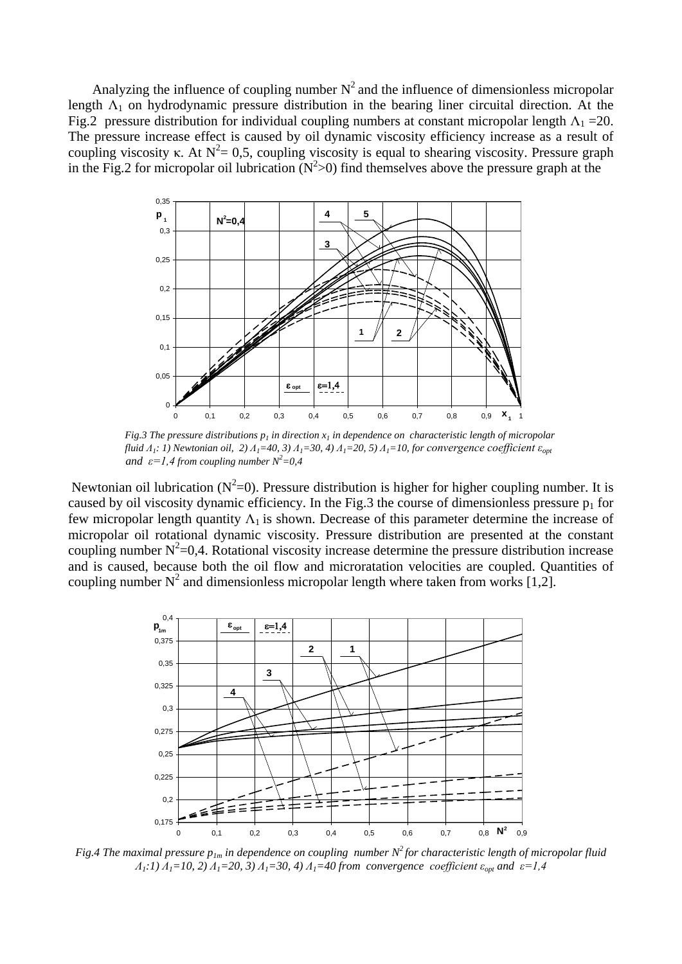Analyzing the influence of coupling number  $N^2$  and the influence of dimensionless micropolar length  $\Lambda_1$  on hydrodynamic pressure distribution in the bearing liner circuital direction. At the Fig.2 pressure distribution for individual coupling numbers at constant micropolar length  $\Lambda_1$  =20. The pressure increase effect is caused by oil dynamic viscosity efficiency increase as a result of coupling viscosity κ. At  $N^2 = 0.5$ , coupling viscosity is equal to shearing viscosity. Pressure graph in the Fig.2 for micropolar oil lubrication  $(N^2>0)$  find themselves above the pressure graph at the



*Fig.3 The pressure distributions*  $p_1$  *in direction*  $x_1$  *in dependence on characteristic length of micropolar fluid*  $\Lambda_1$ *: 1) Newtonian oil, 2)*  $\Lambda_1$ =40, 3)  $\Lambda_1$ =30, 4)  $\Lambda_1$ =20, 5)  $\Lambda_1$ =10, for convergence coefficient  $\varepsilon_{opt}$ *and*  $\varepsilon = 1.4$  *from coupling number*  $N^2 = 0.4$ 

Newtonian oil lubrication ( $N^2=0$ ). Pressure distribution is higher for higher coupling number. It is caused by oil viscosity dynamic efficiency. In the Fig.3 the course of dimensionless pressure  $p_1$  for few micropolar length quantity  $\Lambda_1$  is shown. Decrease of this parameter determine the increase of micropolar oil rotational dynamic viscosity. Pressure distribution are presented at the constant coupling number  $N^2=0,4$ . Rotational viscosity increase determine the pressure distribution increase and is caused, because both the oil flow and microratation velocities are coupled. Quantities of coupling number  $N^2$  and dimensionless micropolar length where taken from works [1,2].



*Fig.4 The maximal pressure*  $p_{1m}$  *in dependence on coupling number*  $N^2$  *for characteristic length of micropolar fluid Λ1:1) Λ1=10, 2) Λ1=20, 3) Λ1=30, 4) Λ1=40 from convergence coefficient εopt and ε=1,4*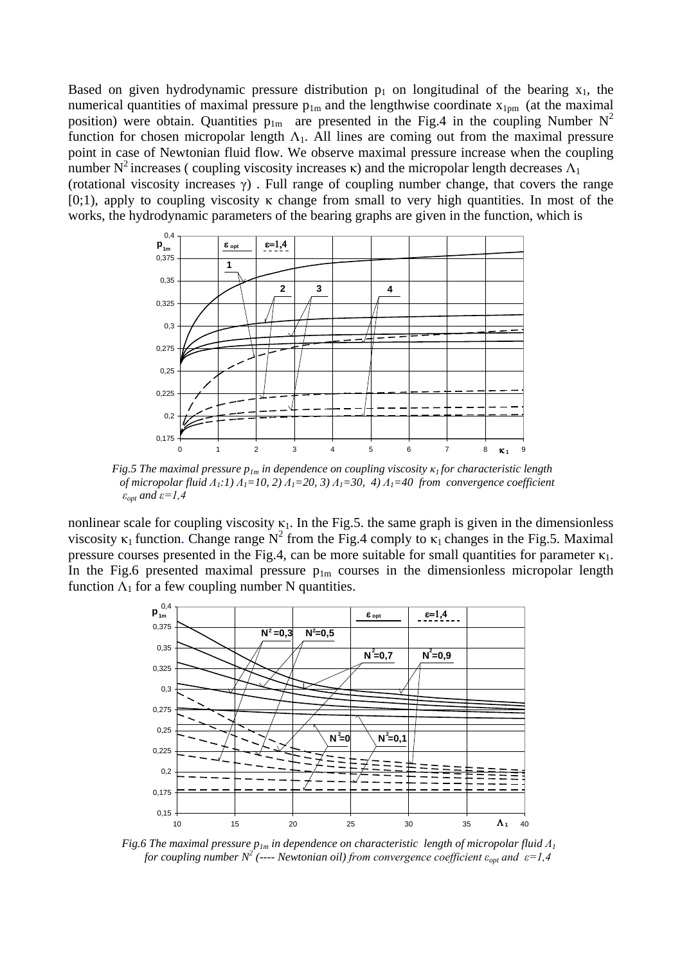Based on given hydrodynamic pressure distribution  $p_1$  on longitudinal of the bearing  $x_1$ , the numerical quantities of maximal pressure  $p_{1m}$  and the lengthwise coordinate  $x_{1pm}$  (at the maximal position) were obtain. Quantities  $p_{1m}$  are presented in the Fig.4 in the coupling Number N<sup>2</sup> function for chosen micropolar length  $\Lambda_1$ . All lines are coming out from the maximal pressure point in case of Newtonian fluid flow. We observe maximal pressure increase when the coupling number  $N^2$  increases ( coupling viscosity increases κ) and the micropolar length decreases  $Λ_1$ (rotational viscosity increases  $\gamma$ ). Full range of coupling number change, that covers the range  $[0,1)$ , apply to coupling viscosity κ change from small to very high quantities. In most of the works, the hydrodynamic parameters of the bearing graphs are given in the function, which is



*Fig.5 The maximal pressure*  $p_{1m}$  *in dependence on coupling viscosity*  $\kappa_1$  *for characteristic length of micropolar fluid Λ1:1) Λ1=10, 2) Λ1=20, 3) Λ1=30, 4) Λ1=40 from convergence coefficient*  $\varepsilon_{opt}$  and  $\varepsilon = 1, 4$ 

nonlinear scale for coupling viscosity  $\kappa_1$ . In the Fig.5. the same graph is given in the dimensionless viscosity  $\kappa_1$  function. Change range N<sup>2</sup> from the Fig.4 comply to  $\kappa_1$  changes in the Fig.5. Maximal pressure courses presented in the Fig.4, can be more suitable for small quantities for parameter  $\kappa_1$ . In the Fig.6 presented maximal pressure  $p_{1m}$  courses in the dimensionless micropolar length function  $\Lambda_1$  for a few coupling number N quantities.



*Fig.6 The maximal pressure*  $p_{1m}$  *<i>in dependence on characteristic length of micropolar fluid*  $\Lambda_1$ *for coupling number N<sup>2</sup>* (---- *Newtonian oil) from convergence coefficient*  $\varepsilon_{opt}$  *and*  $\varepsilon = 1,4$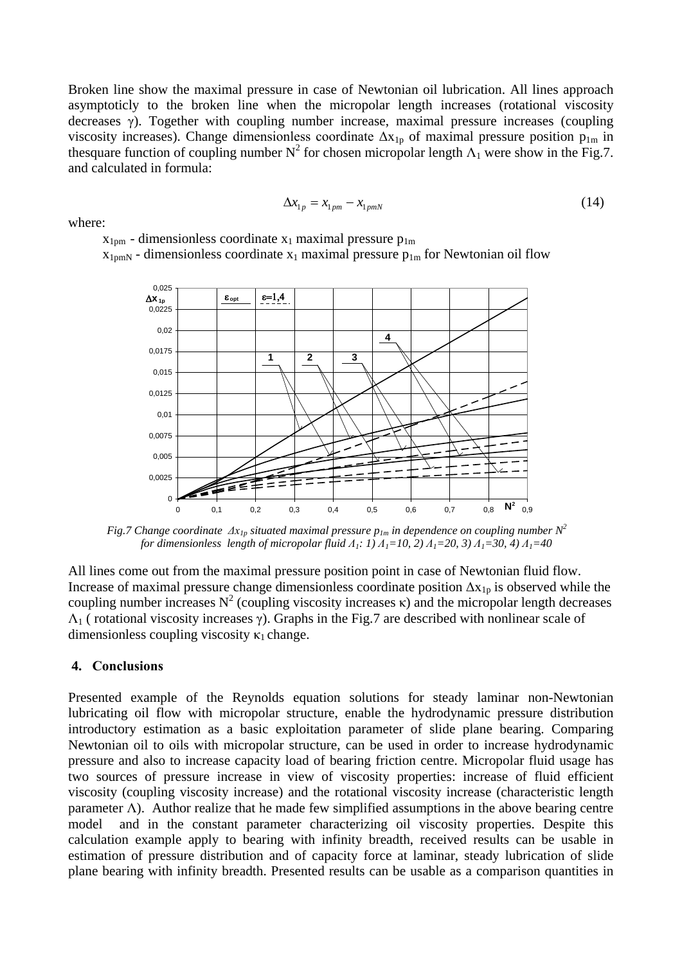Broken line show the maximal pressure in case of Newtonian oil lubrication. All lines approach asymptoticly to the broken line when the micropolar length increases (rotational viscosity decreases γ). Together with coupling number increase, maximal pressure increases (coupling viscosity increases). Change dimensionless coordinate  $\Delta x_{1p}$  of maximal pressure position  $p_{1m}$  in thesquare function of coupling number  $N^2$  for chosen micropolar length  $\Lambda_1$  were show in the Fig.7. and calculated in formula:

$$
\Delta x_{1p} = x_{1pm} - x_{1pmN} \tag{14}
$$

where:

 $x_{1pm}$  - dimensionless coordinate  $x_1$  maximal pressure  $p_{1m}$ 

 $x_{1cmN}$  - dimensionless coordinate  $x_1$  maximal pressure  $p_{1m}$  for Newtonian oil flow



*Fig.7 Change coordinate*  $\Delta x_{lp}$  *situated maximal pressure*  $p_{lm}$  *in dependence on coupling number*  $N^2$  *for dimensionless length of micropolar fluid Λ1: 1) Λ1=10, 2) Λ1=20, 3) Λ1=30, 4) Λ1=40*

All lines come out from the maximal pressure position point in case of Newtonian fluid flow. Increase of maximal pressure change dimensionless coordinate position  $\Delta x_{1p}$  is observed while the coupling number increases  $N^2$  (coupling viscosity increases κ) and the micropolar length decreases  $Λ<sub>1</sub>$  ( rotational viscosity increases γ). Graphs in the Fig.7 are described with nonlinear scale of dimensionless coupling viscosity  $\kappa_1$  change.

## **4. Conclusions**

Presented example of the Reynolds equation solutions for steady laminar non-Newtonian lubricating oil flow with micropolar structure, enable the hydrodynamic pressure distribution introductory estimation as a basic exploitation parameter of slide plane bearing. Comparing Newtonian oil to oils with micropolar structure, can be used in order to increase hydrodynamic pressure and also to increase capacity load of bearing friction centre. Micropolar fluid usage has two sources of pressure increase in view of viscosity properties: increase of fluid efficient viscosity (coupling viscosity increase) and the rotational viscosity increase (characteristic length parameter  $\Lambda$ ). Author realize that he made few simplified assumptions in the above bearing centre model and in the constant parameter characterizing oil viscosity properties. Despite this calculation example apply to bearing with infinity breadth, received results can be usable in estimation of pressure distribution and of capacity force at laminar, steady lubrication of slide plane bearing with infinity breadth. Presented results can be usable as a comparison quantities in